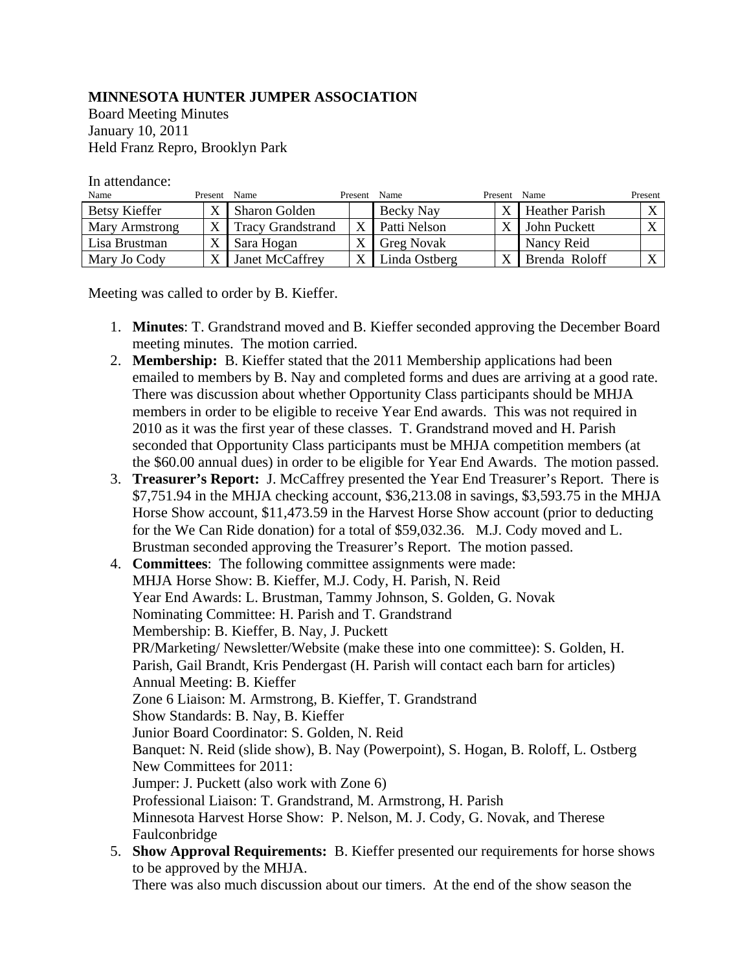## **MINNESOTA HUNTER JUMPER ASSOCIATION**

Board Meeting Minutes January 10, 2011 Held Franz Repro, Brooklyn Park

In attendance:

| Name           | Present | Name                     | Present | Name              | Present      | Name                  | Present                  |
|----------------|---------|--------------------------|---------|-------------------|--------------|-----------------------|--------------------------|
| Betsy Kieffer  |         | <b>Sharon Golden</b>     |         | Becky Nay         | X            | <b>Heather Parish</b> | $\mathbf{v}$<br>$\Delta$ |
| Mary Armstrong | X       | <b>Tracy Grandstrand</b> |         | Patti Nelson      | $\mathbf{v}$ | John Puckett          | X                        |
| Lisa Brustman  |         | Sara Hogan               |         | <b>Greg Novak</b> |              | Nancy Reid            |                          |
| Mary Jo Cody   |         | Janet McCaffrey          |         | Linda Ostberg     | $\mathbf v$  | Brenda Roloff         | X                        |

Meeting was called to order by B. Kieffer.

- 1. **Minutes**: T. Grandstrand moved and B. Kieffer seconded approving the December Board meeting minutes. The motion carried.
- 2. **Membership:** B. Kieffer stated that the 2011 Membership applications had been emailed to members by B. Nay and completed forms and dues are arriving at a good rate. There was discussion about whether Opportunity Class participants should be MHJA members in order to be eligible to receive Year End awards. This was not required in 2010 as it was the first year of these classes. T. Grandstrand moved and H. Parish seconded that Opportunity Class participants must be MHJA competition members (at the \$60.00 annual dues) in order to be eligible for Year End Awards. The motion passed.
- 3. **Treasurer's Report:** J. McCaffrey presented the Year End Treasurer's Report. There is \$7,751.94 in the MHJA checking account, \$36,213.08 in savings, \$3,593.75 in the MHJA Horse Show account, \$11,473.59 in the Harvest Horse Show account (prior to deducting for the We Can Ride donation) for a total of \$59,032.36. M.J. Cody moved and L. Brustman seconded approving the Treasurer's Report. The motion passed.
- 4. **Committees**: The following committee assignments were made: MHJA Horse Show: B. Kieffer, M.J. Cody, H. Parish, N. Reid Year End Awards: L. Brustman, Tammy Johnson, S. Golden, G. Novak Nominating Committee: H. Parish and T. Grandstrand Membership: B. Kieffer, B. Nay, J. Puckett PR/Marketing/ Newsletter/Website (make these into one committee): S. Golden, H. Parish, Gail Brandt, Kris Pendergast (H. Parish will contact each barn for articles) Annual Meeting: B. Kieffer Zone 6 Liaison: M. Armstrong, B. Kieffer, T. Grandstrand Show Standards: B. Nay, B. Kieffer Junior Board Coordinator: S. Golden, N. Reid Banquet: N. Reid (slide show), B. Nay (Powerpoint), S. Hogan, B. Roloff, L. Ostberg New Committees for 2011: Jumper: J. Puckett (also work with Zone 6) Professional Liaison: T. Grandstrand, M. Armstrong, H. Parish Minnesota Harvest Horse Show: P. Nelson, M. J. Cody, G. Novak, and Therese Faulconbridge
- 5. **Show Approval Requirements:** B. Kieffer presented our requirements for horse shows to be approved by the MHJA.

There was also much discussion about our timers. At the end of the show season the